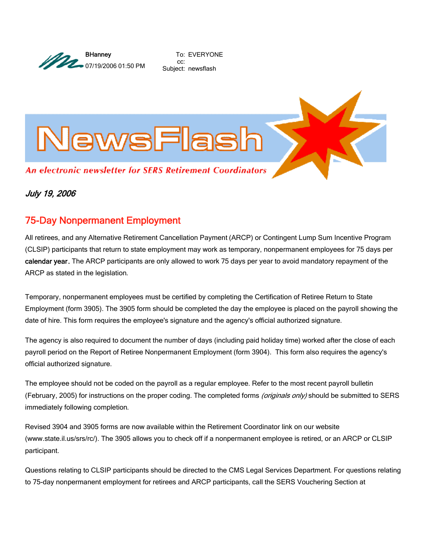

To: EVERYONE cc: Subject: newsflash



## July 19, 2006

# 75-Day Nonpermanent Employment

All retirees, and any Alternative Retirement Cancellation Payment (ARCP) or Contingent Lump Sum Incentive Program (CLSIP) participants that return to state employment may work as temporary, nonpermanent employees for 75 days per calendar year. The ARCP participants are only allowed to work 75 days per year to avoid mandatory repayment of the ARCP as stated in the legislation.

Temporary, nonpermanent employees must be certified by completing the Certification of Retiree Return to State Employment (form 3905). The 3905 form should be completed the day the employee is placed on the payroll showing the date of hire. This form requires the employee's signature and the agency's official authorized signature.

The agency is also required to document the number of days (including paid holiday time) worked after the close of each payroll period on the Report of Retiree Nonpermanent Employment (form 3904). This form also requires the agency's official authorized signature.

The employee should not be coded on the payroll as a regular employee. Refer to the most recent payroll bulletin (February, 2005) for instructions on the proper coding. The completed forms (originals only) should be submitted to SERS immediately following completion.

Revised 3904 and 3905 forms are now available within the Retirement Coordinator link on our website (www.state.il.us/srs/rc/). The 3905 allows you to check off if a nonpermanent employee is retired, or an ARCP or CLSIP participant.

Questions relating to CLSIP participants should be directed to the CMS Legal Services Department. For questions relating to 75-day nonpermanent employment for retirees and ARCP participants, call the SERS Vouchering Section at